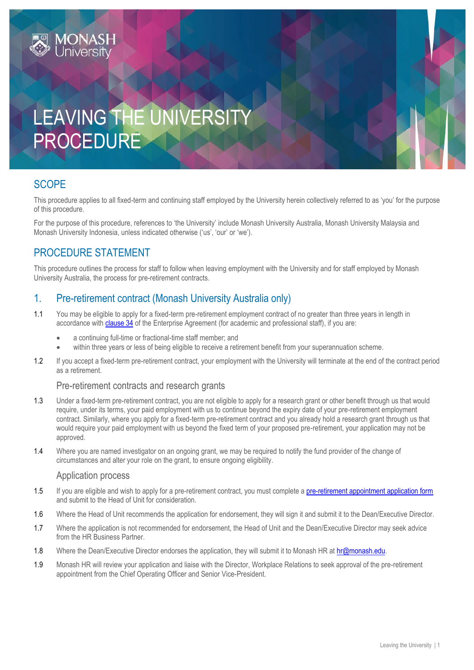# LEAVING THE UNIVERSI PROCEDURE

## **SCOPE**

This procedure applies to all fixed-term and continuing staff employed by the University herein collectively referred to as 'you' for the purpose of this procedure.

For the purpose of this procedure, references to 'the University' include Monash University Australia, Monash University Malaysia and Monash University Indonesia, unless indicated otherwise ('us', 'our' or 'we').

## PROCEDURE STATEMENT

This procedure outlines the process for staff to follow when leaving employment with the University and for staff employed by Monash University Australia, the process for pre-retirement contracts.

## 1. Pre-retirement contract (Monash University Australia only)

- 1.1 You may be eligible to apply for a fixed-term pre-retirement employment contract of no greater than three years in length in accordance wit[h clause 34](https://www.monash.edu/current-enterprise-agreements/academic-professional-2019#34) of the Enterprise Agreement (for academic and professional staff), if you are:
	- a continuing full-time or fractional-time staff member; and
	- within three years or less of being eligible to receive a retirement benefit from your superannuation scheme.
- 1.2 If you accept a fixed-term pre-retirement contract, your employment with the University will terminate at the end of the contract period as a retirement.

#### Pre-retirement contracts and research grants

- 1.3 Under a fixed-term pre-retirement contract, you are not eligible to apply for a research grant or other benefit through us that would require, under its terms, your paid employment with us to continue beyond the expiry date of your pre-retirement employment contract. Similarly, where you apply for a fixed-term pre-retirement contract and you already hold a research grant through us that would require your paid employment with us beyond the fixed term of your proposed pre-retirement, your application may not be approved.
- 1.4 Where you are named investigator on an ongoing grant, we may be required to notify the fund provider of the change of circumstances and alter your role on the grant, to ensure ongoing eligibility.

#### Application process

- 1.5 If you are eligible and wish to apply for a pre-retirement contract, you must complete a [pre-retirement appointment application form](http://www.intranet.monash/hr/assets/docs/tools-and-resources/forms/word/pre-retirement-application.doc) and submit to the Head of Unit for consideration.
- 1.6 Where the Head of Unit recommends the application for endorsement, they will sign it and submit it to the Dean/Executive Director.
- 1.7 Where the application is not recommended for endorsement, the Head of Unit and the Dean/Executive Director may seek advice from the HR Business Partner.
- 1.8 Where the Dean/Executive Director endorses the application, they will submit it to Monash HR at [hr@monash.edu.](mailto:hr@monash.edu)
- 1.9 Monash HR will review your application and liaise with the Director, Workplace Relations to seek approval of the pre-retirement appointment from the Chief Operating Officer and Senior Vice-President.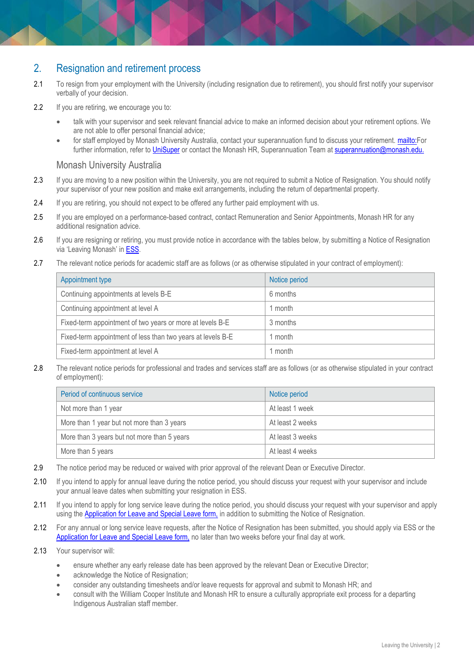## 2. Resignation and retirement process

- 2.1 To resign from your employment with the University (including resignation due to retirement), you should first notify your supervisor verbally of your decision.
- 2.2 If you are retiring, we encourage you to:
	- talk with your supervisor and seek relevant financial advice to make an informed decision about your retirement options. We are not able to offer personal financial advice;
	- for staff employed by Monash University Australia, contact your superannuation fund to discuss your retirement[. mailto:F](mailto:)or further information, refer t[o UniSuper](https://www.unisuper.com.au/) or contact the Monash HR. Superannuation Team a[t superannuation@monash.edu.](file:///C:/Users/kimq/Desktop/PowerDMS%20Migration/Resignation%20and%20Exiting%20the%20University/superannuation@monash.edu)

#### Monash University Australia

- 2.3 If you are moving to a new position within the University, you are not required to submit a Notice of Resignation. You should notify your supervisor of your new position and make exit arrangements, including the return of departmental property.
- 2.4 If you are retiring, you should not expect to be offered any further paid employment with us.
- 2.5 If you are employed on a performance-based contract, contact Remuneration and Senior Appointments, Monash HR for any additional resignation advice.
- 2.6 If you are resigning or retiring, you must provide notice in accordance with the tables below, by submitting a Notice of Resignation via 'Leaving Monash' in [ESS.](https://eservices.monash.edu.au/irj/portal)
- 2.7 The relevant notice periods for academic staff are as follows (or as otherwise stipulated in your contract of employment):

| Appointment type                                            | Notice period |
|-------------------------------------------------------------|---------------|
| Continuing appointments at levels B-E                       | 6 months      |
| Continuing appointment at level A                           | 1 month       |
| Fixed-term appointment of two years or more at levels B-E   | 3 months      |
| Fixed-term appointment of less than two years at levels B-E | month         |
| Fixed-term appointment at level A                           | 1 month       |

2.8 The relevant notice periods for professional and trades and services staff are as follows (or as otherwise stipulated in your contract of employment):

| Period of continuous service                | Notice period    |
|---------------------------------------------|------------------|
| Not more than 1 year                        | At least 1 week  |
| More than 1 year but not more than 3 years  | At least 2 weeks |
| More than 3 years but not more than 5 years | At least 3 weeks |
| More than 5 years                           | At least 4 weeks |

- 2.9 The notice period may be reduced or waived with prior approval of the relevant Dean or Executive Director.
- 2.10 If you intend to apply for annual leave during the notice period, you should discuss your request with your supervisor and include your annual leave dates when submitting your resignation in ESS.
- 2.11 If you intend to apply for long service leave during the notice period, you should discuss your request with your supervisor and apply using th[e Application for Leave and Special Leave form,](https://www.monash.edu/eforms-resources/frevvo-forms/hr/leave-request) in addition to submitting the Notice of Resignation.
- 2.12 For any annual or long service leave requests, after the Notice of Resignation has been submitted, you should apply via ESS or the [Application for Leave and Special Leave form,](https://www.monash.edu/eforms-resources/frevvo-forms/hr/leave-request) no later than two weeks before your final day at work.
- 2.13 Your supervisor will:
	- ensure whether any early release date has been approved by the relevant Dean or Executive Director;
	- acknowledge the Notice of Resignation:
	- consider any outstanding timesheets and/or leave requests for approval and submit to Monash HR; and
	- consult with the William Cooper Institute and Monash HR to ensure a culturally appropriate exit process for a departing Indigenous Australian staff member.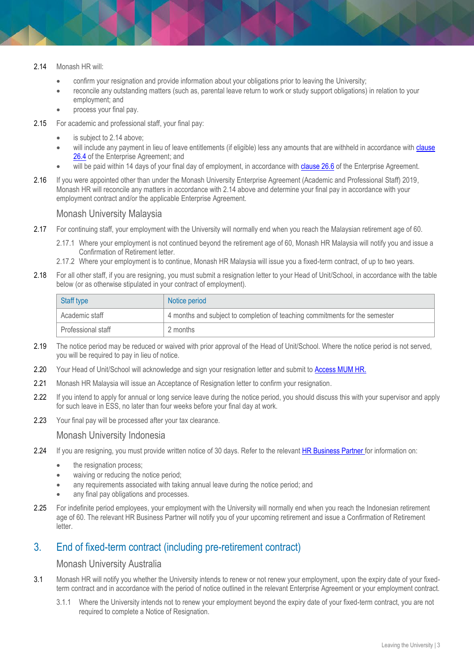- 2.14 Monash HR will:
	- confirm your resignation and provide information about your obligations prior to leaving the University;
	- reconcile any outstanding matters (such as, parental leave return to work or study support obligations) in relation to your employment; and
	- process your final pay.
- 2.15 For academic and professional staff, your final pay:
	- is subject to 2.14 above;
	- will include any payment in lieu of leave entitlements (if eligible) less any amounts that are withheld in accordance with [clause](https://www.monash.edu/current-enterprise-agreements/academic-professional-2019#26)  [26.4](https://www.monash.edu/current-enterprise-agreements/academic-professional-2019#26) of the Enterprise Agreement; and
	- will be paid within 14 days of your final day of employment, in accordance with [clause 26.6](https://www.monash.edu/current-enterprise-agreements/academic-professional-2019#26) of the Enterprise Agreement.
- 2.16 If you were appointed other than under the Monash University Enterprise Agreement (Academic and Professional Staff) 2019, Monash HR will reconcile any matters in accordance with 2.14 above and determine your final pay in accordance with your employment contract and/or the applicable Enterprise Agreement.

#### Monash University Malaysia

- 2.17 For continuing staff, your employment with the University will normally end when you reach the Malaysian retirement age of 60.
	- 2.17.1 Where your employment is not continued beyond the retirement age of 60, Monash HR Malaysia will notify you and issue a Confirmation of Retirement letter.
	- 2.17.2 Where your employment is to continue, Monash HR Malaysia will issue you a fixed-term contract, of up to two years.
- 2.18 For all other staff, if you are resigning, you must submit a resignation letter to your Head of Unit/School, in accordance with the table below (or as otherwise stipulated in your contract of employment).

| Staff type         | Notice period                                                               |
|--------------------|-----------------------------------------------------------------------------|
| Academic staff     | 4 months and subject to completion of teaching commitments for the semester |
| Professional staff | 2 months                                                                    |

- 2.19 The notice period may be reduced or waived with prior approval of the Head of Unit/School. Where the notice period is not served, you will be required to pay in lieu of notice.
- 2.20 Your Head of Unit/School will acknowledge and sign your resignation letter and submit to [Access MUM HR.](https://hrhelpdesk.monash.edu.my/)
- 2.21 Monash HR Malaysia will issue an Acceptance of Resignation letter to confirm your resignation.
- 2.22 If you intend to apply for annual or long service leave during the notice period, you should discuss this with your supervisor and apply for such leave in ESS, no later than four weeks before your final day at work.
- 2.23 Your final pay will be processed after your tax clearance.

#### Monash University Indonesia

- 2.24 If you are resigning, you must provide written notice of 30 days. Refer to the relevant [HR Business Partner fo](https://www.intranet.monash/hr/contact-us/hr-business-partners)r information on:
	- the resignation process:
	- waiving or reducing the notice period;
	- any requirements associated with taking annual leave during the notice period; and
	- any final pay obligations and processes.
- 2.25 For indefinite period employees, your employment with the University will normally end when you reach the Indonesian retirement age of 60. The relevant HR Business Partner will notify you of your upcoming retirement and issue a Confirmation of Retirement letter.

## 3. End of fixed-term contract (including pre-retirement contract)

#### Monash University Australia

- 3.1 Monash HR will notify you whether the University intends to renew or not renew your employment, upon the expiry date of your fixedterm contract and in accordance with the period of notice outlined in the relevant Enterprise Agreement or your employment contract.
	- 3.1.1 Where the University intends not to renew your employment beyond the expiry date of your fixed-term contract, you are not required to complete a Notice of Resignation.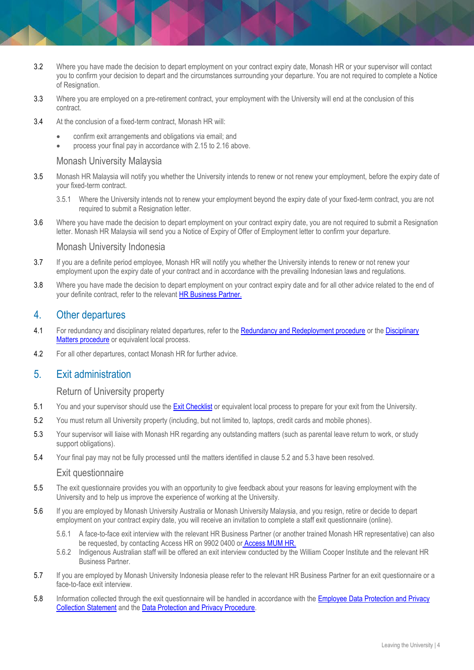- 3.2 Where you have made the decision to depart employment on your contract expiry date, Monash HR or your supervisor will contact you to confirm your decision to depart and the circumstances surrounding your departure. You are not required to complete a Notice of Resignation.
- 3.3 Where you are employed on a pre-retirement contract, your employment with the University will end at the conclusion of this contract.
- 3.4 At the conclusion of a fixed-term contract, Monash HR will:
	- confirm exit arrangements and obligations via email; and
	- process your final pay in accordance with 2.15 to 2.16 above.

#### Monash University Malaysia

- 3.5 Monash HR Malaysia will notify you whether the University intends to renew or not renew your employment, before the expiry date of your fixed-term contract.
	- 3.5.1 Where the University intends not to renew your employment beyond the expiry date of your fixed-term contract, you are not required to submit a Resignation letter.
- 3.6 Where you have made the decision to depart employment on your contract expiry date, you are not required to submit a Resignation letter. Monash HR Malaysia will send you a Notice of Expiry of Offer of Employment letter to confirm your departure.

#### Monash University Indonesia

- 3.7 If you are a definite period employee, Monash HR will notify you whether the University intends to renew or not renew your employment upon the expiry date of your contract and in accordance with the prevailing Indonesian laws and regulations.
- 3.8 Where you have made the decision to depart employment on your contract expiry date and for all other advice related to the end of your definite contract, refer to the relevant [HR Business Partner.](https://www.intranet.monash/hr/contact-us/hr-business-partners)

### 4. Other departures

- 4.1 For redundancy and disciplinary related departures, refer to th[e Redundancy and Redeployment procedure](https://publicpolicydms.monash.edu/Monash/documents/1935728) or th[e Disciplinary](https://publicpolicydms.monash.edu/Monash/documents/1935674)  [Matters procedure](https://publicpolicydms.monash.edu/Monash/documents/1935674) or equivalent local process.
- 4.2 For all other departures, contact Monash HR for further advice.

## 5. Exit administration

#### Return of University property

- 5.1 You and your supervisor should use th[e Exit Checklist](http://www.intranet.monash/hr/tools-and-resources/manager-resources/leaving-monash/Exit-Checklist.doc) or equivalent local process to prepare for your exit from the University.
- 5.2 You must return all University property (including, but not limited to, laptops, credit cards and mobile phones).
- 5.3 Your supervisor will liaise with Monash HR regarding any outstanding matters (such as parental leave return to work, or study support obligations).
- 5.4 Your final pay may not be fully processed until the matters identified in clause 5.2 and 5.3 have been resolved.

#### Exit questionnaire

- 5.5 The exit questionnaire provides you with an opportunity to give feedback about your reasons for leaving employment with the University and to help us improve the experience of working at the University.
- 5.6 If you are employed by Monash University Australia or Monash University Malaysia, and you resign, retire or decide to depart employment on your contract expiry date, you will receive an invitation to complete a staff exit questionnaire (online).
	- 5.6.1 A face-to-face exit interview with the relevant HR Business Partner (or another trained Monash HR representative) can also be requested, by contacting Access HR on 9902 0400 or [Access MUM HR.](https://hrhelpdesk.monash.edu.my/)
	- 5.6.2 Indigenous Australian staff will be offered an exit interview conducted by the William Cooper Institute and the relevant HR Business Partner.
- 5.7 If you are employed by Monash University Indonesia please refer to the relevant HR Business Partner for an exit questionnaire or a face-to-face exit interview.
- 5.8 Information collected through the exit questionnaire will be handled in accordance with the [Employee Data Protection and Privacy](https://www.monash.edu/__data/assets/pdf_file/0008/1595267/Employee-Data-Protection-and-Privacy-Collection-Statement-June.pdf)  [Collection Statement](https://www.monash.edu/__data/assets/pdf_file/0008/1595267/Employee-Data-Protection-and-Privacy-Collection-Statement-June.pdf) and the [Data Protection and Privacy Procedure.](https://publicpolicydms.monash.edu/Monash/documents/1909233)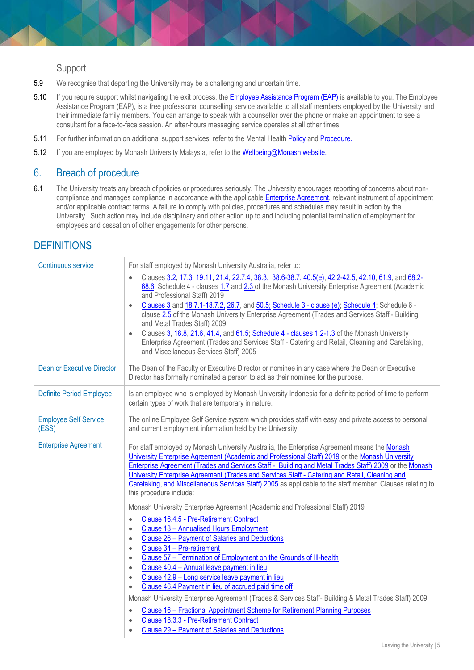## Support

- 5.9 We recognise that departing the University may be a challenging and uncertain time.
- 5.10 If you require support whilst navigating the exit process, the **Employee Assistance Program (EAP)** is available to you. The Employee Assistance Program (EAP), is a free professional counselling service available to all staff members employed by the University and their immediate family members. You can arrange to speak with a counsellor over the phone or make an appointment to see a consultant for a face-to-face session. An after-hours messaging service operates at all other times.
- 5.11 For further information on additional support services, refer to the Mental Health [Policy](https://publicpolicydms.monash.edu/Monash/documents/1942902) an[d Procedure.](https://publicpolicydms.monash.edu/Monash/documents/1942903)
- 5.12 If you are employed by Monash University Malaysia, refer to the Wellbeing@Monash website.

## 6. Breach of procedure

6.1 The University treats any breach of policies or procedures seriously. The University encourages reporting of concerns about noncompliance and manages compliance in accordance with the applicabl[e Enterprise Agreement,](https://www.monash.edu/current-enterprise-agreements) relevant instrument of appointment and/or applicable contract terms. A failure to comply with policies, procedures and schedules may result in action by the University. Such action may include disciplinary and other action up to and including potential termination of employment for employees and cessation of other engagements for other persons.

## **DEFINITIONS**

| Continuous service                    | For staff employed by Monash University Australia, refer to:                                                                                                                                                                                                                                                                                                                                                                                                                                                                                                                                                                                                                                                                                                                                                                                                                                                                                                                                                                                                                 |
|---------------------------------------|------------------------------------------------------------------------------------------------------------------------------------------------------------------------------------------------------------------------------------------------------------------------------------------------------------------------------------------------------------------------------------------------------------------------------------------------------------------------------------------------------------------------------------------------------------------------------------------------------------------------------------------------------------------------------------------------------------------------------------------------------------------------------------------------------------------------------------------------------------------------------------------------------------------------------------------------------------------------------------------------------------------------------------------------------------------------------|
|                                       | Clauses 3.2, 17.3, 19.11, 21.4, 22.7.4, 38.3, 38.6-38.7, 40.5(e), 42.2-42.5, 42.10, 61.9, and 68.2-<br>68.6; Schedule 4 - clauses 1.7 and 2.3 of the Monash University Enterprise Agreement (Academic<br>and Professional Staff) 2019                                                                                                                                                                                                                                                                                                                                                                                                                                                                                                                                                                                                                                                                                                                                                                                                                                        |
|                                       | Clauses 3 and 18.7.1-18.7.2, 26.7, and 50.5; Schedule 3 - clause (e); Schedule 4; Schedule 6 -<br>$\bullet$<br>clause 2.5 of the Monash University Enterprise Agreement (Trades and Services Staff - Building<br>and Metal Trades Staff) 2009                                                                                                                                                                                                                                                                                                                                                                                                                                                                                                                                                                                                                                                                                                                                                                                                                                |
|                                       | Clauses 3, 18.8, 21.6, 41.4, and 61.5; Schedule 4 - clauses 1.2-1.3 of the Monash University<br>Enterprise Agreement (Trades and Services Staff - Catering and Retail, Cleaning and Caretaking,<br>and Miscellaneous Services Staff) 2005                                                                                                                                                                                                                                                                                                                                                                                                                                                                                                                                                                                                                                                                                                                                                                                                                                    |
| <b>Dean or Executive Director</b>     | The Dean of the Faculty or Executive Director or nominee in any case where the Dean or Executive<br>Director has formally nominated a person to act as their nominee for the purpose.                                                                                                                                                                                                                                                                                                                                                                                                                                                                                                                                                                                                                                                                                                                                                                                                                                                                                        |
| <b>Definite Period Employee</b>       | Is an employee who is employed by Monash University Indonesia for a definite period of time to perform<br>certain types of work that are temporary in nature.                                                                                                                                                                                                                                                                                                                                                                                                                                                                                                                                                                                                                                                                                                                                                                                                                                                                                                                |
| <b>Employee Self Service</b><br>(ESS) | The online Employee Self Service system which provides staff with easy and private access to personal<br>and current employment information held by the University.                                                                                                                                                                                                                                                                                                                                                                                                                                                                                                                                                                                                                                                                                                                                                                                                                                                                                                          |
| <b>Enterprise Agreement</b>           | For staff employed by Monash University Australia, the Enterprise Agreement means the Monash<br>University Enterprise Agreement (Academic and Professional Staff) 2019 or the Monash University<br>Enterprise Agreement (Trades and Services Staff - Building and Metal Trades Staff) 2009 or the Monash<br>University Enterprise Agreement (Trades and Services Staff - Catering and Retail, Cleaning and<br>Caretaking, and Miscellaneous Services Staff) 2005 as applicable to the staff member. Clauses relating to<br>this procedure include:<br>Monash University Enterprise Agreement (Academic and Professional Staff) 2019<br>Clause 16.4.5 - Pre-Retirement Contract<br>$\bullet$<br>Clause 18 - Annualised Hours Employment<br>$\bullet$<br>Clause 26 - Payment of Salaries and Deductions<br>$\bullet$<br>Clause 34 - Pre-retirement<br>$\bullet$<br>Clause 57 - Termination of Employment on the Grounds of III-health<br>$\bullet$<br>Clause 40.4 - Annual leave payment in lieu<br>$\bullet$<br>Clause 42.9 - Long service leave payment in lieu<br>$\bullet$ |
|                                       | Clause 46.4 Payment in lieu of accrued paid time off<br>$\bullet$                                                                                                                                                                                                                                                                                                                                                                                                                                                                                                                                                                                                                                                                                                                                                                                                                                                                                                                                                                                                            |
|                                       | Monash University Enterprise Agreement (Trades & Services Staff- Building & Metal Trades Staff) 2009                                                                                                                                                                                                                                                                                                                                                                                                                                                                                                                                                                                                                                                                                                                                                                                                                                                                                                                                                                         |
|                                       | Clause 16 - Fractional Appointment Scheme for Retirement Planning Purposes<br>$\bullet$                                                                                                                                                                                                                                                                                                                                                                                                                                                                                                                                                                                                                                                                                                                                                                                                                                                                                                                                                                                      |
|                                       | Clause 18.3.3 - Pre-Retirement Contract<br>$\bullet$<br>Clause 29 - Payment of Salaries and Deductions                                                                                                                                                                                                                                                                                                                                                                                                                                                                                                                                                                                                                                                                                                                                                                                                                                                                                                                                                                       |
|                                       | $\bullet$                                                                                                                                                                                                                                                                                                                                                                                                                                                                                                                                                                                                                                                                                                                                                                                                                                                                                                                                                                                                                                                                    |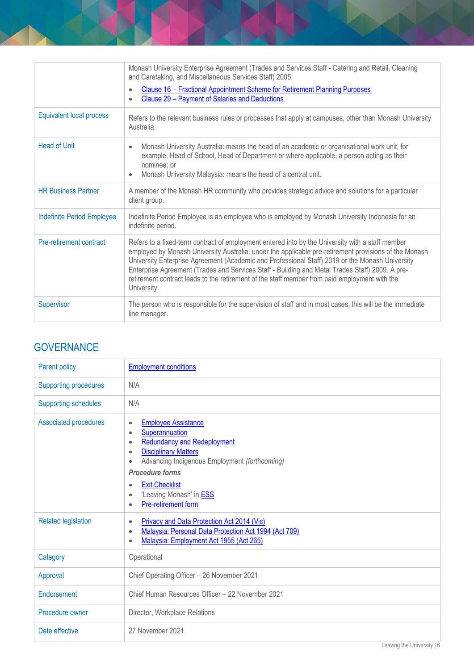|                                   | Monash University Enterprise Agreement (Trades and Services Staff - Catering and Retail, Cleaning<br>and Caretaking, and Miscellaneous Services Staff) 2005                                                                                                                                                                                                                                                                                                                                                                     |
|-----------------------------------|---------------------------------------------------------------------------------------------------------------------------------------------------------------------------------------------------------------------------------------------------------------------------------------------------------------------------------------------------------------------------------------------------------------------------------------------------------------------------------------------------------------------------------|
|                                   | Clause 16 - Fractional Appointment Scheme for Retirement Planning Purposes<br>$\bullet$<br>Clause 29 - Payment of Salaries and Deductions<br>$\bullet$                                                                                                                                                                                                                                                                                                                                                                          |
| <b>Equivalent local process</b>   | Refers to the relevant business rules or processes that apply at campuses, other than Monash University<br>Australia.                                                                                                                                                                                                                                                                                                                                                                                                           |
| <b>Head of Unit</b>               | Monash University Australia: means the head of an academic or organisational work unit, for<br>$\bullet$<br>example, Head of School, Head of Department or where applicable, a person acting as their<br>nominee: or<br>Monash University Malaysia: means the head of a central unit.<br>$\bullet$                                                                                                                                                                                                                              |
| <b>HR Business Partner</b>        | A member of the Monash HR community who provides strategic advice and solutions for a particular<br>client group.                                                                                                                                                                                                                                                                                                                                                                                                               |
| <b>Indefinite Period Employee</b> | Indefinite Period Employee is an employee who is employed by Monash University Indonesia for an<br>indefinite period.                                                                                                                                                                                                                                                                                                                                                                                                           |
| Pre-retirement contract           | Refers to a fixed-term contract of employment entered into by the University with a staff member<br>employed by Monash University Australia, under the applicable pre-retirement provisions of the Monash<br>University Enterprise Agreement (Academic and Professional Staff) 2019 or the Monash University<br>Enterprise Agreement (Trades and Services Staff - Building and Metal Trades Staff) 2009. A pre-<br>retirement contract leads to the retirement of the staff member from paid employment with the<br>University. |
| Supervisor                        | The person who is responsible for the supervision of staff and in most cases, this will be the immediate<br>line manager.                                                                                                                                                                                                                                                                                                                                                                                                       |

## **GOVERNANCE**

| Parent policy                | <b>Employment conditions</b>                                                                                                                                                                                                                                                                                                                              |
|------------------------------|-----------------------------------------------------------------------------------------------------------------------------------------------------------------------------------------------------------------------------------------------------------------------------------------------------------------------------------------------------------|
| <b>Supporting procedures</b> | N/A                                                                                                                                                                                                                                                                                                                                                       |
| <b>Supporting schedules</b>  | N/A                                                                                                                                                                                                                                                                                                                                                       |
| Associated procedures        | <b>Employee Assistance</b><br>$\bullet$<br>Superannuation<br>$\bullet$<br><b>Redundancy and Redeployment</b><br>٠<br><b>Disciplinary Matters</b><br>$\bullet$<br>Advancing Indigenous Employment (forthcoming)<br>٠<br><b>Procedure forms</b><br><b>Exit Checklist</b><br>'Leaving Monash' in <b>ESS</b><br>$\bullet$<br>Pre-retirement form<br>$\bullet$ |
| <b>Related legislation</b>   | <b>Privacy and Data Protection Act 2014 (Vic)</b><br>$\bullet$<br>Malaysia: Personal Data Protection Act 1994 (Act 709)<br>$\bullet$<br>Malaysia: Employment Act 1955 (Act 265)                                                                                                                                                                           |
| Category                     | Operational                                                                                                                                                                                                                                                                                                                                               |
| Approval                     | Chief Operating Officer - 26 November 2021                                                                                                                                                                                                                                                                                                                |
| Endorsement                  | Chief Human Resources Officer - 22 November 2021                                                                                                                                                                                                                                                                                                          |
| Procedure owner              | Director, Workplace Relations                                                                                                                                                                                                                                                                                                                             |
| Date effective               | 27 November 2021                                                                                                                                                                                                                                                                                                                                          |